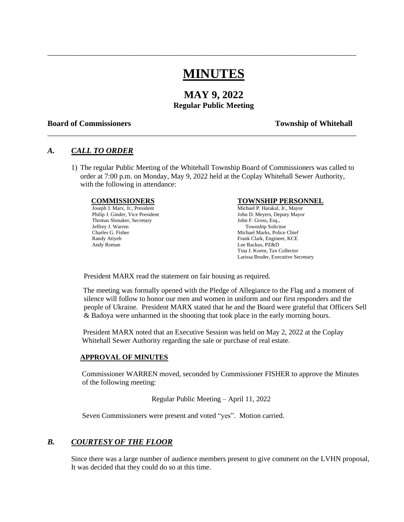# **MINUTES**

\_\_\_\_\_\_\_\_\_\_\_\_\_\_\_\_\_\_\_\_\_\_\_\_\_\_\_\_\_\_\_\_\_\_\_\_\_\_\_\_\_\_\_\_\_\_\_\_\_\_\_\_\_\_\_\_\_\_\_\_\_\_\_\_\_\_\_\_\_\_\_\_\_\_\_\_\_\_

\_\_\_\_\_\_\_\_\_\_\_\_\_\_\_\_\_\_\_\_\_\_\_\_\_\_\_\_\_\_\_\_\_\_\_\_\_\_\_\_\_\_\_\_\_\_\_\_\_\_\_\_\_\_\_\_\_\_\_\_\_\_\_\_\_\_\_\_\_\_\_\_\_\_\_\_\_\_

## **MAY 9, 2022 Regular Public Meeting**

#### **Board of Commissioners Township of Whitehall**

### *A. CALL TO ORDER*

1) The regular Public Meeting of the Whitehall Township Board of Commissioners was called to order at 7:00 p.m. on Monday, May 9, 2022 held at the Coplay Whitehall Sewer Authority, with the following in attendance:

Thomas Slonaker, Secretary Jeffrey J. Warren Township Solicitor Charles G. Fisher Michael Marks, Police Chief Randy Ativeh Michael Marks, Police Chief Randy Ativeh Andy Roman Lee Rackus, PZ&D

#### **COMMISSIONERS TOWNSHIP PERSONNEL**

Joseph J. Marx, Jr., President Michael P. Harakal, Jr., Mayor<br>
Philip J. Ginder, Vice President Michael P. Meyers, Deputy Mayor<br>
John D. Meyers, Deputy Mayor John D. Meyers, Deputy Mayor<br>John F. Gross, Esq., Frank Clark, Engineer, KCE Tina J. Koren, Tax Collector Larissa Bruder, Executive Secretary

President MARX read the statement on fair housing as required.

The meeting was formally opened with the Pledge of Allegiance to the Flag and a moment of silence will follow to honor our men and women in uniform and our first responders and the people of Ukraine. President MARX stated that he and the Board were grateful that Officers Sell & Badoya were unharmed in the shooting that took place in the early morning hours.

President MARX noted that an Executive Session was held on May 2, 2022 at the Coplay Whitehall Sewer Authority regarding the sale or purchase of real estate.

#### **APPROVAL OF MINUTES**

Commissioner WARREN moved, seconded by Commissioner FISHER to approve the Minutes of the following meeting:

Regular Public Meeting – April 11, 2022

Seven Commissioners were present and voted "yes". Motion carried.

### *B. COURTESY OF THE FLOOR*

 Since there was a large number of audience members present to give comment on the LVHN proposal, It was decided that they could do so at this time.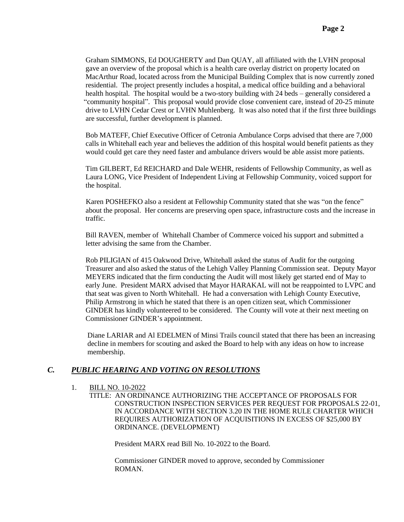Graham SIMMONS, Ed DOUGHERTY and Dan QUAY, all affiliated with the LVHN proposal gave an overview of the proposal which is a health care overlay district on property located on MacArthur Road, located across from the Municipal Building Complex that is now currently zoned residential. The project presently includes a hospital, a medical office building and a behavioral health hospital. The hospital would be a two-story building with 24 beds – generally considered a "community hospital". This proposal would provide close convenient care, instead of 20-25 minute drive to LVHN Cedar Crest or LVHN Muhlenberg. It was also noted that if the first three buildings are successful, further development is planned.

 Bob MATEFF, Chief Executive Officer of Cetronia Ambulance Corps advised that there are 7,000 calls in Whitehall each year and believes the addition of this hospital would benefit patients as they would could get care they need faster and ambulance drivers would be able assist more patients.

 Tim GILBERT, Ed REICHARD and Dale WEHR, residents of Fellowship Community, as well as Laura LONG, Vice President of Independent Living at Fellowship Community, voiced support for the hospital.

 Karen POSHEFKO also a resident at Fellowship Community stated that she was "on the fence" about the proposal. Her concerns are preserving open space, infrastructure costs and the increase in traffic.

 Bill RAVEN, member of Whitehall Chamber of Commerce voiced his support and submitted a letter advising the same from the Chamber.

 Rob PILIGIAN of 415 Oakwood Drive, Whitehall asked the status of Audit for the outgoing Treasurer and also asked the status of the Lehigh Valley Planning Commission seat. Deputy Mayor MEYERS indicated that the firm conducting the Audit will most likely get started end of May to early June. President MARX advised that Mayor HARAKAL will not be reappointed to LVPC and that seat was given to North Whitehall. He had a conversation with Lehigh County Executive, Philip Armstrong in which he stated that there is an open citizen seat, which Commissioner GINDER has kindly volunteered to be considered. The County will vote at their next meeting on Commissioner GINDER's appointment.

 Diane LARIAR and Al EDELMEN of Minsi Trails council stated that there has been an increasing decline in members for scouting and asked the Board to help with any ideas on how to increase membership.

### *C. PUBLIC HEARING AND VOTING ON RESOLUTIONS*

- 1. BILL NO. 10-2022
	- TITLE: AN ORDINANCE AUTHORIZING THE ACCEPTANCE OF PROPOSALS FOR CONSTRUCTION INSPECTION SERVICES PER REQUEST FOR PROPOSALS 22-01, IN ACCORDANCE WITH SECTION 3.20 IN THE HOME RULE CHARTER WHICH REQUIRES AUTHORIZATION OF ACQUISITIONS IN EXCESS OF \$25,000 BY ORDINANCE. (DEVELOPMENT)

President MARX read Bill No. 10-2022 to the Board.

 Commissioner GINDER moved to approve, seconded by Commissioner **ROMAN**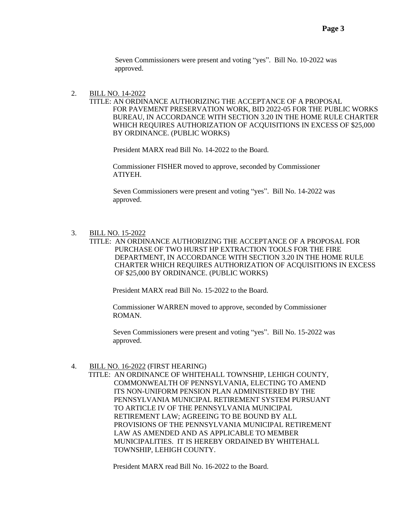Seven Commissioners were present and voting "yes". Bill No. 10-2022 was approved.

#### 2. BILL NO. 14-2022

 TITLE: AN ORDINANCE AUTHORIZING THE ACCEPTANCE OF A PROPOSAL FOR PAVEMENT PRESERVATION WORK, BID 2022-05 FOR THE PUBLIC WORKS BUREAU, IN ACCORDANCE WITH SECTION 3.20 IN THE HOME RULE CHARTER WHICH REQUIRES AUTHORIZATION OF ACQUISITIONS IN EXCESS OF \$25,000 BY ORDINANCE. (PUBLIC WORKS)

President MARX read Bill No. 14-2022 to the Board.

 Commissioner FISHER moved to approve, seconded by Commissioner ATIYEH.

 Seven Commissioners were present and voting "yes". Bill No. 14-2022 was approved.

#### 3. BILL NO. 15-2022

 TITLE: AN ORDINANCE AUTHORIZING THE ACCEPTANCE OF A PROPOSAL FOR PURCHASE OF TWO HURST HP EXTRACTION TOOLS FOR THE FIRE DEPARTMENT, IN ACCORDANCE WITH SECTION 3.20 IN THE HOME RULE CHARTER WHICH REQUIRES AUTHORIZATION OF ACQUISITIONS IN EXCESS OF \$25,000 BY ORDINANCE. (PUBLIC WORKS)

President MARX read Bill No. 15-2022 to the Board.

 Commissioner WARREN moved to approve, seconded by Commissioner ROMAN.

 Seven Commissioners were present and voting "yes". Bill No. 15-2022 was approved.

#### 4. BILL NO. 16-2022 (FIRST HEARING)

 TITLE: AN ORDINANCE OF WHITEHALL TOWNSHIP, LEHIGH COUNTY, COMMONWEALTH OF PENNSYLVANIA, ELECTING TO AMEND ITS NON-UNIFORM PENSION PLAN ADMINISTERED BY THE PENNSYLVANIA MUNICIPAL RETIREMENT SYSTEM PURSUANT TO ARTICLE IV OF THE PENNSYLVANIA MUNICIPAL RETIREMENT LAW; AGREEING TO BE BOUND BY ALL PROVISIONS OF THE PENNSYLVANIA MUNICIPAL RETIREMENT LAW AS AMENDED AND AS APPLICABLE TO MEMBER MUNICIPALITIES. IT IS HEREBY ORDAINED BY WHITEHALL TOWNSHIP, LEHIGH COUNTY.

President MARX read Bill No. 16-2022 to the Board.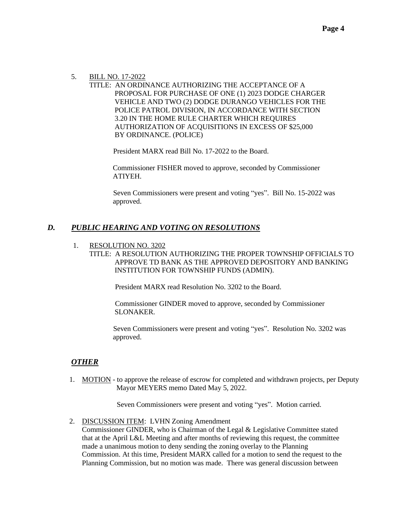## 5. BILL NO. 17-2022

 TITLE: AN ORDINANCE AUTHORIZING THE ACCEPTANCE OF A PROPOSAL FOR PURCHASE OF ONE (1) 2023 DODGE CHARGER VEHICLE AND TWO (2) DODGE DURANGO VEHICLES FOR THE POLICE PATROL DIVISION, IN ACCORDANCE WITH SECTION 3.20 IN THE HOME RULE CHARTER WHICH REQUIRES AUTHORIZATION OF ACQUISITIONS IN EXCESS OF \$25,000 BY ORDINANCE. (POLICE)

President MARX read Bill No. 17-2022 to the Board.

 Commissioner FISHER moved to approve, seconded by Commissioner ATIYEH.

 Seven Commissioners were present and voting "yes". Bill No. 15-2022 was approved.

## *D. PUBLIC HEARING AND VOTING ON RESOLUTIONS*

- 1. RESOLUTION NO. 3202
	- TITLE: A RESOLUTION AUTHORIZING THE PROPER TOWNSHIP OFFICIALS TO APPROVE TD BANK AS THE APPROVED DEPOSITORY AND BANKING INSTITUTION FOR TOWNSHIP FUNDS (ADMIN).

President MARX read Resolution No. 3202 to the Board.

 Commissioner GINDER moved to approve, seconded by Commissioner SLONAKER.

 Seven Commissioners were present and voting "yes". Resolution No. 3202 was approved.

## *OTHER*

1. MOTION - to approve the release of escrow for completed and withdrawn projects, per Deputy Mayor MEYERS memo Dated May 5, 2022.

Seven Commissioners were present and voting "yes". Motion carried.

2. DISCUSSION ITEM: LVHN Zoning Amendment

 Commissioner GINDER, who is Chairman of the Legal & Legislative Committee stated that at the April L&L Meeting and after months of reviewing this request, the committee made a unanimous motion to deny sending the zoning overlay to the Planning Commission. At this time, President MARX called for a motion to send the request to the Planning Commission, but no motion was made. There was general discussion between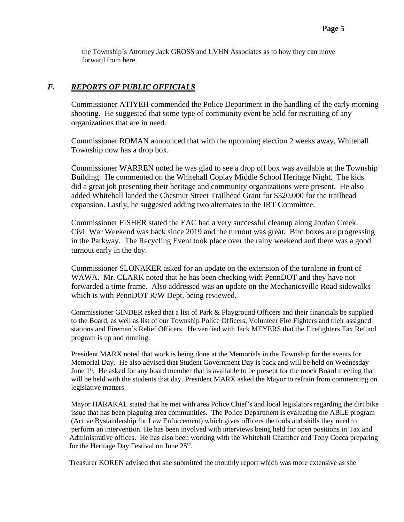the Township's Attorney Jack GROSS and LVHN Associates as to how they can move forward from here.

## *F. REPORTS OF PUBLIC OFFICIALS*

 Commissioner ATIYEH commended the Police Department in the handling of the early morning shooting. He suggested that some type of community event be held for recruiting of any organizations that are in need.

 Commissioner ROMAN announced that with the upcoming election 2 weeks away, Whitehall Township now has a drop box.

 Commissioner WARREN noted he was glad to see a drop off box was available at the Township Building. He commented on the Whitehall Coplay Middle School Heritage Night. The kids did a great job presenting their heritage and community organizations were present. He also added Whitehall landed the Chestnut Street Trailhead Grant for \$320,000 for the trailhead expansion. Lastly, he suggested adding two alternates to the IRT Committee.

 Commissioner FISHER stated the EAC had a very successful cleanup along Jordan Creek. Civil War Weekend was back since 2019 and the turnout was great. Bird boxes are progressing in the Parkway. The Recycling Event took place over the rainy weekend and there was a good turnout early in the day.

 Commissioner SLONAKER asked for an update on the extension of the turnlane in front of WAWA. Mr. CLARK noted that he has been checking with PennDOT and they have not forwarded a time frame. Also addressed was an update on the Mechanicsville Road sidewalks which is with PennDOT R/W Dept. being reviewed.

 Commissioner GINDER asked that a list of Park & Playground Officers and their financials be supplied to the Board, as well as list of our Township Police Officers, Volunteer Fire Fighters and their assigned stations and Fireman's Relief Officers. He verified with Jack MEYERS that the Firefighters Tax Refund program is up and running.

 President MARX noted that work is being done at the Memorials in the Township for the events for Memorial Day. He also advised that Student Government Day is back and will be held on Wednesday June 1<sup>st</sup>. He asked for any board member that is available to be present for the mock Board meeting that will be held with the students that day. President MARX asked the Mayor to refrain from commenting on legislative matters.

 Mayor HARAKAL stated that he met with area Police Chief's and local legislators regarding the dirt bike issue that has been plaguing area communities. The Police Department is evaluating the ABLE program (Active Bystandership for Law Enforcement) which gives officers the tools and skills they need to perform an intervention. He has been involved with interviews being held for open positions in Tax and Administrative offices. He has also been working with the Whitehall Chamber and Tony Cocca preparing for the Heritage Day Festival on June 25<sup>th</sup>.

Treasurer KOREN advised that she submitted the monthly report which was more extensive as she